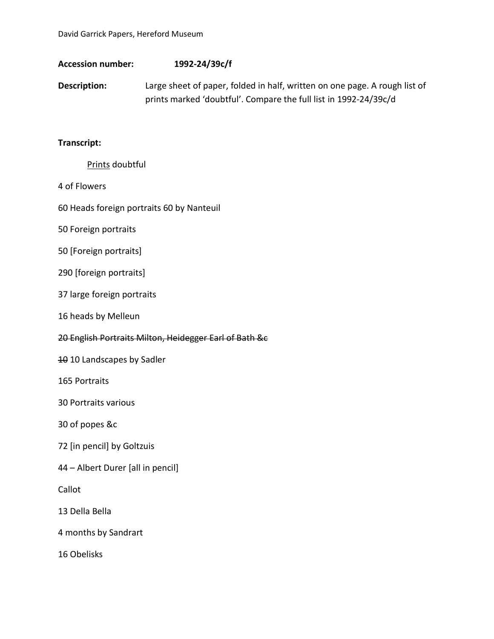| <b>Accession number:</b>                               | 1992-24/39c/f                                                                                                                                  |
|--------------------------------------------------------|------------------------------------------------------------------------------------------------------------------------------------------------|
| Description:                                           | Large sheet of paper, folded in half, written on one page. A rough list of<br>prints marked 'doubtful'. Compare the full list in 1992-24/39c/d |
| Transcript:                                            |                                                                                                                                                |
| Prints doubtful                                        |                                                                                                                                                |
| 4 of Flowers                                           |                                                                                                                                                |
| 60 Heads foreign portraits 60 by Nanteuil              |                                                                                                                                                |
| 50 Foreign portraits                                   |                                                                                                                                                |
| 50 [Foreign portraits]                                 |                                                                                                                                                |
| 290 [foreign portraits]                                |                                                                                                                                                |
| 37 large foreign portraits                             |                                                                                                                                                |
| 16 heads by Melleun                                    |                                                                                                                                                |
| 20 English Portraits Milton, Heidegger Earl of Bath &c |                                                                                                                                                |
| 10 10 Landscapes by Sadler                             |                                                                                                                                                |
| 165 Portraits                                          |                                                                                                                                                |
| 30 Portraits various                                   |                                                                                                                                                |
| 30 of popes &c                                         |                                                                                                                                                |
| 72 [in pencil] by Goltzuis                             |                                                                                                                                                |
| 44 - Albert Durer [all in pencil]                      |                                                                                                                                                |
| Callot                                                 |                                                                                                                                                |

- 13 Della Bella
- 4 months by Sandrart
- 16 Obelisks